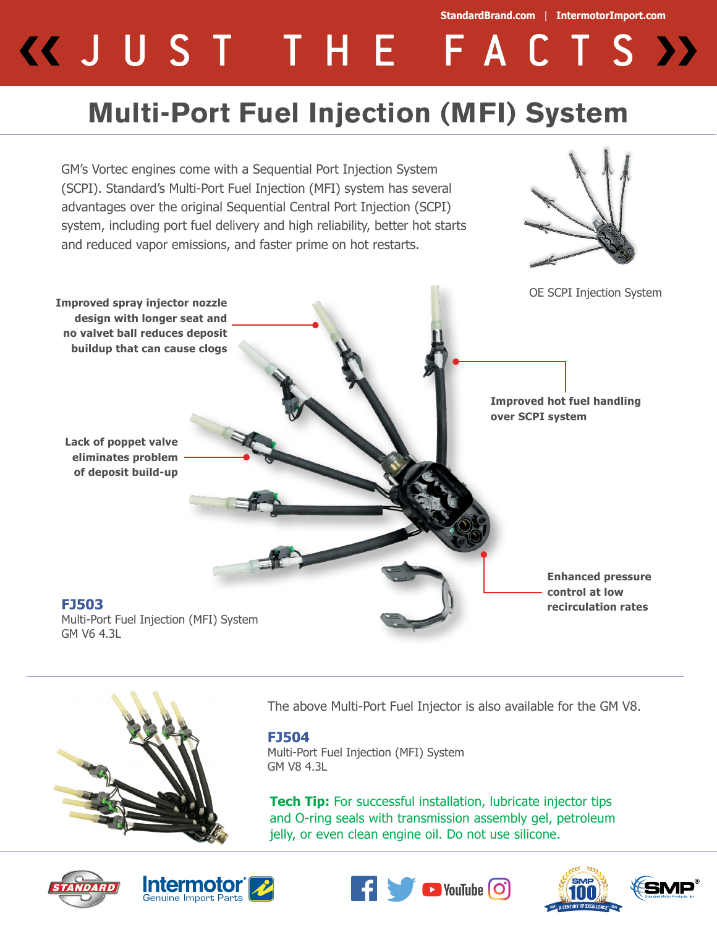# **StandardBrand.com** | **IntermotorImport.com** KJUST THE FACTS >>

## **Multi-Port Fuel Injection (MFI) System**





The above Multi-Port Fuel Injector is also available for the GM V8.

#### **FJ504**

Multi-Port Fuel Injection (MFI) System GM V8 4.3L

**Tech Tip:** For successful installation, lubricate injector tips and O-ring seals with transmission assembly gel, petroleum jelly, or even clean engine oil. Do not use silicone.